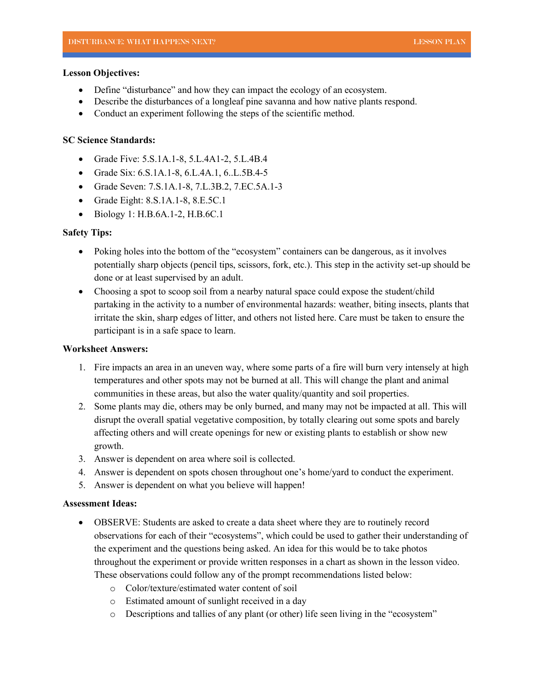#### **Lesson Objectives:**

- Define "disturbance" and how they can impact the ecology of an ecosystem.
- Describe the disturbances of a longleaf pine savanna and how native plants respond.
- Conduct an experiment following the steps of the scientific method.

## **SC Science Standards:**

- Grade Five: 5.S.1A.1-8, 5.L.4A1-2, 5.L.4B.4
- Grade Six: 6.S.1A.1-8, 6.L.4A.1, 6..L.5B.4-5
- Grade Seven: 7.S.1A.1-8, 7.L.3B.2, 7.EC.5A.1-3
- Grade Eight: 8.S.1A.1-8, 8.E.5C.1
- Biology 1: H.B.6A.1-2, H.B.6C.1

### **Safety Tips:**

- Poking holes into the bottom of the "ecosystem" containers can be dangerous, as it involves potentially sharp objects (pencil tips, scissors, fork, etc.). This step in the activity set-up should be done or at least supervised by an adult.
- Choosing a spot to scoop soil from a nearby natural space could expose the student/child partaking in the activity to a number of environmental hazards: weather, biting insects, plants that irritate the skin, sharp edges of litter, and others not listed here. Care must be taken to ensure the participant is in a safe space to learn.

#### **Worksheet Answers:**

- 1. Fire impacts an area in an uneven way, where some parts of a fire will burn very intensely at high temperatures and other spots may not be burned at all. This will change the plant and animal communities in these areas, but also the water quality/quantity and soil properties.
- 2. Some plants may die, others may be only burned, and many may not be impacted at all. This will disrupt the overall spatial vegetative composition, by totally clearing out some spots and barely affecting others and will create openings for new or existing plants to establish or show new growth.
- 3. Answer is dependent on area where soil is collected.
- 4. Answer is dependent on spots chosen throughout one's home/yard to conduct the experiment.
- 5. Answer is dependent on what you believe will happen!

# **Assessment Ideas:**

- OBSERVE: Students are asked to create a data sheet where they are to routinely record observations for each of their "ecosystems", which could be used to gather their understanding of the experiment and the questions being asked. An idea for this would be to take photos throughout the experiment or provide written responses in a chart as shown in the lesson video. These observations could follow any of the prompt recommendations listed below:
	- o Color/texture/estimated water content of soil
	- o Estimated amount of sunlight received in a day
	- o Descriptions and tallies of any plant (or other) life seen living in the "ecosystem"